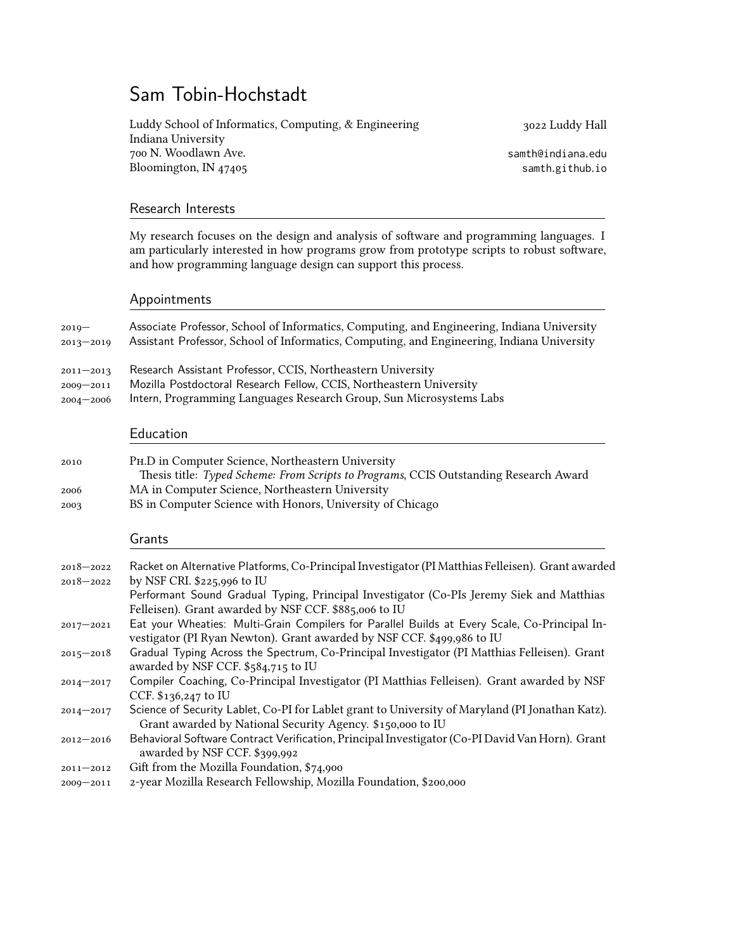# Sam Tobin-Hochstadt

Luddy School of Informatics, Computing, & Engineering Indiana University 700 N. Woodlawn Ave. Bloomington, IN 47405

3022 Luddy Hall

[samth@indiana.edu](mailto:samth@indiana.edu) [samth.github.io](http://samth.github.io/)

### Research Interests

My research focuses on the design and analysis of software and programming languages. I am particularly interested in how programs grow from prototype scripts to robust software, and how programming language design can support this process.

### Appointments

| $2019 -$<br>$2013 - 2019$                       | Associate Professor, School of Informatics, Computing, and Engineering, Indiana University<br>Assistant Professor, School of Informatics, Computing, and Engineering, Indiana University                  |
|-------------------------------------------------|-----------------------------------------------------------------------------------------------------------------------------------------------------------------------------------------------------------|
| $2011 - 2013$<br>$2009 - 2011$<br>$2004 - 2006$ | Research Assistant Professor, CCIS, Northeastern University<br>Mozilla Postdoctoral Research Fellow, CCIS, Northeastern University<br>Intern, Programming Languages Research Group, Sun Microsystems Labs |
|                                                 | Education                                                                                                                                                                                                 |
| 2010                                            | PH.D in Computer Science, Northeastern University<br>Thesis title: Typed Scheme: From Scripts to Programs, CCIS Outstanding Research Award                                                                |
| 2006                                            | MA in Computer Science, Northeastern University<br>יחת יודד היודרים את יחס                                                                                                                                |

2003 BS in Computer Science with Honors, University of Chicago

### Grants

| $2018 - 2022$ | Racket on Alternative Platforms, Co-Principal Investigator (PI Matthias Felleisen). Grant awarded                                                                       |
|---------------|-------------------------------------------------------------------------------------------------------------------------------------------------------------------------|
| $2018 - 2022$ | by NSF CRI. \$225,996 to IU                                                                                                                                             |
|               | Performant Sound Gradual Typing, Principal Investigator (Co-PIs Jeremy Siek and Matthias                                                                                |
|               | Felleisen). Grant awarded by NSF CCF. \$885,006 to IU                                                                                                                   |
| $2017 - 2021$ | Eat your Wheaties: Multi-Grain Compilers for Parallel Builds at Every Scale, Co-Principal In-<br>vestigator (PI Ryan Newton). Grant awarded by NSF CCF. \$499,986 to IU |
| $2015 - 2018$ | Gradual Typing Across the Spectrum, Co-Principal Investigator (PI Matthias Felleisen). Grant<br>awarded by NSF CCF. \$584,715 to IU                                     |
| $2014 - 2017$ | Compiler Coaching, Co-Principal Investigator (PI Matthias Felleisen). Grant awarded by NSF<br>CCF. $$136,247$ to IU                                                     |
| $2014 - 2017$ | Science of Security Lablet, Co-PI for Lablet grant to University of Maryland (PI Jonathan Katz).<br>Grant awarded by National Security Agency. \$150,000 to IU          |
| $2012 - 2016$ | Behavioral Software Contract Verification, Principal Investigator (Co-PI David Van Horn). Grant<br>awarded by NSF CCF. \$399,992                                        |
| $2011 - 2012$ | Gift from the Mozilla Foundation, \$74,900                                                                                                                              |
| $2009 - 2011$ | 2-year Mozilla Research Fellowship, Mozilla Foundation, \$200,000                                                                                                       |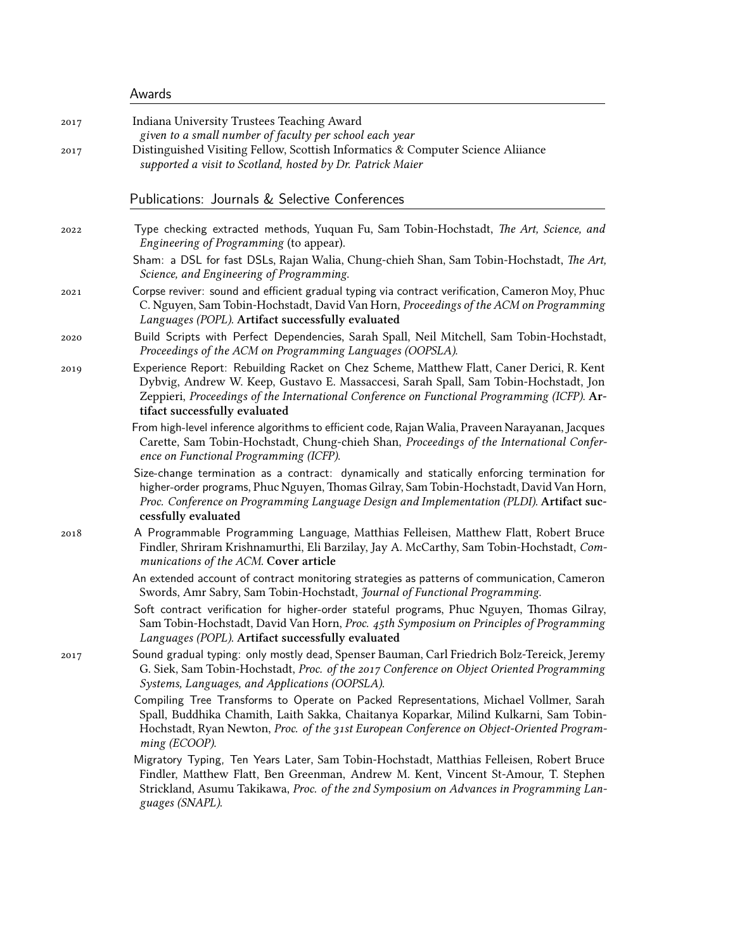| Awards |
|--------|
|--------|

| 2017 | Indiana University Trustees Teaching Award<br>given to a small number of faculty per school each year                                                                                                                                                                                                             |
|------|-------------------------------------------------------------------------------------------------------------------------------------------------------------------------------------------------------------------------------------------------------------------------------------------------------------------|
| 2017 | Distinguished Visiting Fellow, Scottish Informatics & Computer Science Aliiance<br>supported a visit to Scotland, hosted by Dr. Patrick Maier                                                                                                                                                                     |
|      | Publications: Journals & Selective Conferences                                                                                                                                                                                                                                                                    |
| 2022 | Type checking extracted methods, Yuquan Fu, Sam Tobin-Hochstadt, The Art, Science, and<br>Engineering of Programming (to appear).                                                                                                                                                                                 |
|      | Sham: a DSL for fast DSLs, Rajan Walia, Chung-chieh Shan, Sam Tobin-Hochstadt, The Art,<br>Science, and Engineering of Programming.                                                                                                                                                                               |
| 2021 | Corpse reviver: sound and efficient gradual typing via contract verification, Cameron Moy, Phuc<br>C. Nguyen, Sam Tobin-Hochstadt, David Van Horn, Proceedings of the ACM on Programming<br>Languages (POPL). Artifact successfully evaluated                                                                     |
| 2020 | Build Scripts with Perfect Dependencies, Sarah Spall, Neil Mitchell, Sam Tobin-Hochstadt,<br>Proceedings of the ACM on Programming Languages (OOPSLA).                                                                                                                                                            |
| 2019 | Experience Report: Rebuilding Racket on Chez Scheme, Matthew Flatt, Caner Derici, R. Kent<br>Dybvig, Andrew W. Keep, Gustavo E. Massaccesi, Sarah Spall, Sam Tobin-Hochstadt, Jon<br>Zeppieri, Proceedings of the International Conference on Functional Programming (ICFP). Ar-<br>tifact successfully evaluated |
|      | From high-level inference algorithms to efficient code, Rajan Walia, Praveen Narayanan, Jacques<br>Carette, Sam Tobin-Hochstadt, Chung-chieh Shan, Proceedings of the International Confer-<br>ence on Functional Programming (ICFP).                                                                             |
|      | Size-change termination as a contract: dynamically and statically enforcing termination for<br>higher-order programs, Phuc Nguyen, Thomas Gilray, Sam Tobin-Hochstadt, David Van Horn,<br>Proc. Conference on Programming Language Design and Implementation (PLDI). Artifact suc-<br>cessfully evaluated         |
| 2018 | A Programmable Programming Language, Matthias Felleisen, Matthew Flatt, Robert Bruce<br>Findler, Shriram Krishnamurthi, Eli Barzilay, Jay A. McCarthy, Sam Tobin-Hochstadt, Com-<br>munications of the ACM. Cover article                                                                                         |
|      | An extended account of contract monitoring strategies as patterns of communication, Cameron<br>Swords, Amr Sabry, Sam Tobin-Hochstadt, Journal of Functional Programming.                                                                                                                                         |
|      | Soft contract verification for higher-order stateful programs, Phuc Nguyen, Thomas Gilray,<br>Sam Tobin-Hochstadt, David Van Horn, Proc. 45th Symposium on Principles of Programming<br>Languages (POPL). Artifact successfully evaluated                                                                         |
| 2017 | Sound gradual typing: only mostly dead, Spenser Bauman, Carl Friedrich Bolz-Tereick, Jeremy<br>G. Siek, Sam Tobin-Hochstadt, Proc. of the 2017 Conference on Object Oriented Programming<br>Systems, Languages, and Applications (OOPSLA).                                                                        |
|      | Compiling Tree Transforms to Operate on Packed Representations, Michael Vollmer, Sarah<br>Spall, Buddhika Chamith, Laith Sakka, Chaitanya Koparkar, Milind Kulkarni, Sam Tobin-<br>Hochstadt, Ryan Newton, Proc. of the 31st European Conference on Object-Oriented Program-<br>ming (ECOOP).                     |
|      | Migratory Typing, Ten Years Later, Sam Tobin-Hochstadt, Matthias Felleisen, Robert Bruce<br>Findler, Matthew Flatt, Ben Greenman, Andrew M. Kent, Vincent St-Amour, T. Stephen<br>Strickland, Asumu Takikawa, Proc. of the 2nd Symposium on Advances in Programming Lan-<br>guages (SNAPL).                       |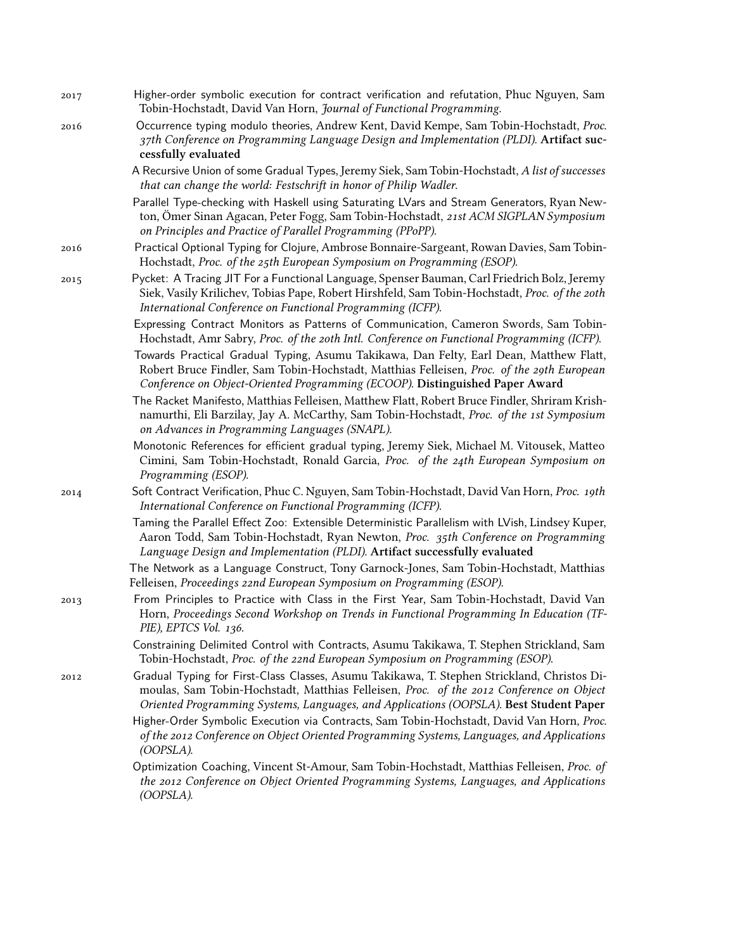- 2017 Higher-order symbolic execution for contract verification and refutation, Phuc Nguyen, Sam Tobin-Hochstadt, David Van Horn, *Journal of Functional Programming*.
- 2016 Occurrence typing modulo theories, Andrew Kent, David Kempe, Sam Tobin-Hochstadt, *Proc. 37th Conference on Programming Language Design and Implementation (PLDI)*. **Artifact successfully evaluated**

A Recursive Union of some Gradual Types, Jeremy Siek, Sam Tobin-Hochstadt, *A list of successes that can change the world: Festschrift in honor of Philip Wadler*.

Parallel Type-checking with Haskell using Saturating LVars and Stream Generators, Ryan Newton, Ömer Sinan Agacan, Peter Fogg, Sam Tobin-Hochstadt, *21st ACM SIGPLAN Symposium on Principles and Practice of Parallel Programming (PPoPP)*.

- 2016 Practical Optional Typing for Clojure, Ambrose Bonnaire-Sargeant, Rowan Davies, Sam Tobin-Hochstadt, *Proc. of the 25th European Symposium on Programming (ESOP)*.
- 2015 Pycket: A Tracing JIT For a Functional Language, Spenser Bauman, Carl Friedrich Bolz, Jeremy Siek, Vasily Krilichev, Tobias Pape, Robert Hirshfeld, Sam Tobin-Hochstadt, *Proc. of the 20th International Conference on Functional Programming (ICFP)*.

Expressing Contract Monitors as Patterns of Communication, Cameron Swords, Sam Tobin-Hochstadt, Amr Sabry, *Proc. of the 20th Intl. Conference on Functional Programming (ICFP)*.

Towards Practical Gradual Typing, Asumu Takikawa, Dan Felty, Earl Dean, Matthew Flatt, Robert Bruce Findler, Sam Tobin-Hochstadt, Matthias Felleisen, *Proc. of the 29th European Conference on Object-Oriented Programming (ECOOP)*. **Distinguished Paper Award**

The Racket Manifesto, Matthias Felleisen, Matthew Flatt, Robert Bruce Findler, Shriram Krishnamurthi, Eli Barzilay, Jay A. McCarthy, Sam Tobin-Hochstadt, *Proc. of the 1st Symposium on Advances in Programming Languages (SNAPL)*.

Monotonic References for efficient gradual typing, Jeremy Siek, Michael M. Vitousek, Matteo Cimini, Sam Tobin-Hochstadt, Ronald Garcia, *Proc. of the 24th European Symposium on Programming (ESOP)*.

2014 Soft Contract Verification, Phuc C. Nguyen, Sam Tobin-Hochstadt, David Van Horn, *Proc. 19th International Conference on Functional Programming (ICFP)*.

> Taming the Parallel Effect Zoo: Extensible Deterministic Parallelism with LVish, Lindsey Kuper, Aaron Todd, Sam Tobin-Hochstadt, Ryan Newton, *Proc. 35th Conference on Programming Language Design and Implementation (PLDI)*. **Artifact successfully evaluated**

> The Network as a Language Construct, Tony Garnock-Jones, Sam Tobin-Hochstadt, Matthias Felleisen, *Proceedings 22nd European Symposium on Programming (ESOP)*.

2013 From Principles to Practice with Class in the First Year, Sam Tobin-Hochstadt, David Van Horn, *Proceedings Second Workshop on Trends in Functional Programming In Education (TF-PIE), EPTCS Vol. 136*.

> Constraining Delimited Control with Contracts, Asumu Takikawa, T. Stephen Strickland, Sam Tobin-Hochstadt, *Proc. of the 22nd European Symposium on Programming (ESOP)*.

2012 Gradual Typing for First-Class Classes, Asumu Takikawa, T. Stephen Strickland, Christos Dimoulas, Sam Tobin-Hochstadt, Matthias Felleisen, *Proc. of the 2012 Conference on Object Oriented Programming Systems, Languages, and Applications (OOPSLA)*. **Best Student Paper**

Higher-Order Symbolic Execution via Contracts, Sam Tobin-Hochstadt, David Van Horn, *Proc. of the 2012 Conference on Object Oriented Programming Systems, Languages, and Applications (OOPSLA)*.

Optimization Coaching, Vincent St-Amour, Sam Tobin-Hochstadt, Matthias Felleisen, *Proc. of the 2012 Conference on Object Oriented Programming Systems, Languages, and Applications (OOPSLA)*.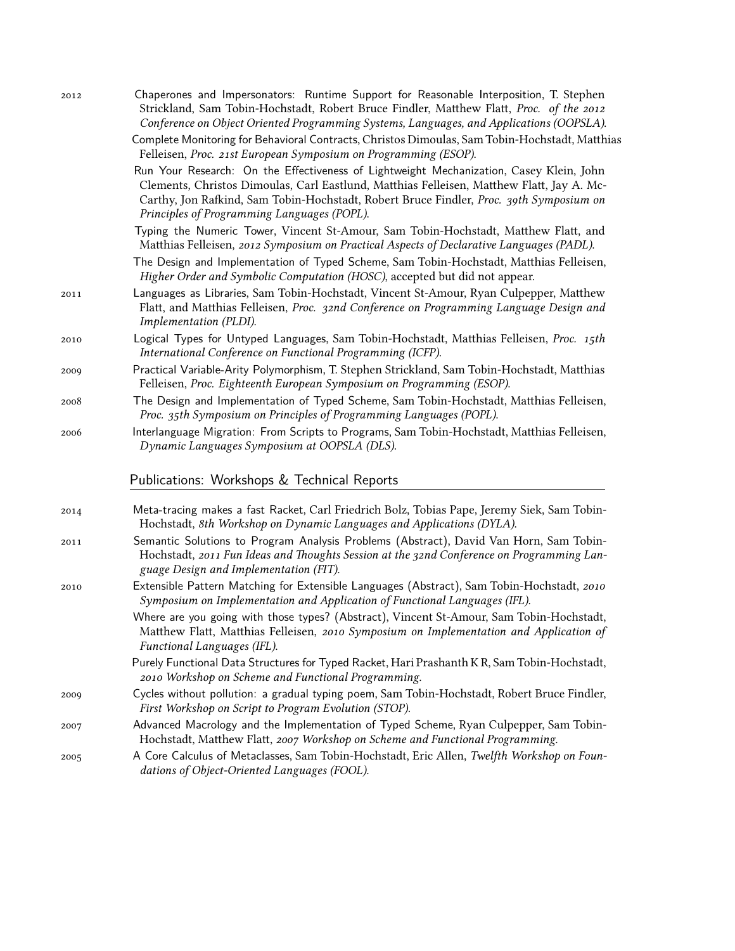| 2012 | Chaperones and Impersonators: Runtime Support for Reasonable Interposition, T. Stephen<br>Strickland, Sam Tobin-Hochstadt, Robert Bruce Findler, Matthew Flatt, Proc. of the 2012<br>Conference on Object Oriented Programming Systems, Languages, and Applications (OOPSLA).                                                  |
|------|--------------------------------------------------------------------------------------------------------------------------------------------------------------------------------------------------------------------------------------------------------------------------------------------------------------------------------|
|      | Complete Monitoring for Behavioral Contracts, Christos Dimoulas, Sam Tobin-Hochstadt, Matthias<br>Felleisen, Proc. 21st European Symposium on Programming (ESOP).                                                                                                                                                              |
|      | Run Your Research: On the Effectiveness of Lightweight Mechanization, Casey Klein, John<br>Clements, Christos Dimoulas, Carl Eastlund, Matthias Felleisen, Matthew Flatt, Jay A. Mc-<br>Carthy, Jon Rafkind, Sam Tobin-Hochstadt, Robert Bruce Findler, Proc. 39th Symposium on<br>Principles of Programming Languages (POPL). |
|      | Typing the Numeric Tower, Vincent St-Amour, Sam Tobin-Hochstadt, Matthew Flatt, and<br>Matthias Felleisen, 2012 Symposium on Practical Aspects of Declarative Languages (PADL).                                                                                                                                                |
|      | The Design and Implementation of Typed Scheme, Sam Tobin-Hochstadt, Matthias Felleisen,<br>Higher Order and Symbolic Computation (HOSC), accepted but did not appear.                                                                                                                                                          |
| 2011 | Languages as Libraries, Sam Tobin-Hochstadt, Vincent St-Amour, Ryan Culpepper, Matthew<br>Flatt, and Matthias Felleisen, Proc. 32nd Conference on Programming Language Design and<br>Implementation (PLDI).                                                                                                                    |
| 2010 | Logical Types for Untyped Languages, Sam Tobin-Hochstadt, Matthias Felleisen, Proc. 15th<br>International Conference on Functional Programming (ICFP).                                                                                                                                                                         |
| 2009 | Practical Variable-Arity Polymorphism, T. Stephen Strickland, Sam Tobin-Hochstadt, Matthias<br>Felleisen, Proc. Eighteenth European Symposium on Programming (ESOP).                                                                                                                                                           |
| 2008 | The Design and Implementation of Typed Scheme, Sam Tobin-Hochstadt, Matthias Felleisen,<br>Proc. 35th Symposium on Principles of Programming Languages (POPL).                                                                                                                                                                 |
| 2006 | Interlanguage Migration: From Scripts to Programs, Sam Tobin-Hochstadt, Matthias Felleisen,<br>Dynamic Languages Symposium at OOPSLA (DLS).                                                                                                                                                                                    |
|      | Publications: Workshops & Technical Reports                                                                                                                                                                                                                                                                                    |
| 2014 | Meta-tracing makes a fast Racket, Carl Friedrich Bolz, Tobias Pape, Jeremy Siek, Sam Tobin-<br>Hochstadt, 8th Workshop on Dynamic Languages and Applications (DYLA).                                                                                                                                                           |
| 2011 | Semantic Solutions to Program Analysis Problems (Abstract), David Van Horn, Sam Tobin-<br>Hochstadt, 2011 Fun Ideas and Thoughts Session at the 32nd Conference on Programming Lan-<br>guage Design and Implementation (FIT).                                                                                                  |
| 2010 | Extensible Pattern Matching for Extensible Languages (Abstract), Sam Tobin-Hochstadt, 2010<br>Symposium on Implementation and Application of Functional Languages (IFL).                                                                                                                                                       |
|      | Where are you going with those types? (Abstract), Vincent St-Amour, Sam Tobin-Hochstadt,<br>Matthew Flatt, Matthias Felleisen, 2010 Symposium on Implementation and Application of<br>Functional Languages (IFL).                                                                                                              |
|      | Purely Functional Data Structures for Typed Racket, Hari Prashanth KR, Sam Tobin-Hochstadt,<br>2010 Workshop on Scheme and Functional Programming.                                                                                                                                                                             |
| 2009 | Cycles without pollution: a gradual typing poem, Sam Tobin-Hochstadt, Robert Bruce Findler,<br>First Workshop on Script to Program Evolution (STOP).                                                                                                                                                                           |
| 2007 | Advanced Macrology and the Implementation of Typed Scheme, Ryan Culpepper, Sam Tobin-<br>Hochstadt, Matthew Flatt, 2007 Workshop on Scheme and Functional Programming.                                                                                                                                                         |
| 2005 | A Core Calculus of Metaclasses, Sam Tobin-Hochstadt, Eric Allen, Twelfth Workshop on Foun-<br>dations of Object-Oriented Languages (FOOL).                                                                                                                                                                                     |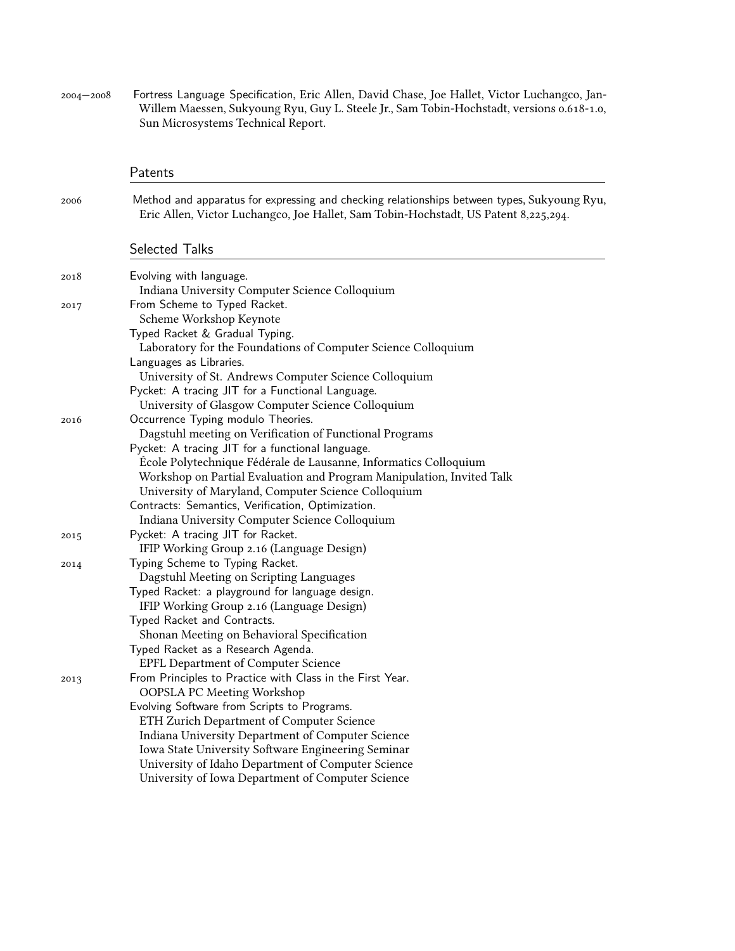2004—2008 Fortress Language Specification, Eric Allen, David Chase, Joe Hallet, Victor Luchangco, Jan-Willem Maessen, Sukyoung Ryu, Guy L. Steele Jr., Sam Tobin-Hochstadt, versions 0.618-1.0, Sun Microsystems Technical Report.

|      | Patents                                                                                                                                                                                                                                                                                                                                                                                                          |
|------|------------------------------------------------------------------------------------------------------------------------------------------------------------------------------------------------------------------------------------------------------------------------------------------------------------------------------------------------------------------------------------------------------------------|
| 2006 | Method and apparatus for expressing and checking relationships between types, Sukyoung Ryu,<br>Eric Allen, Victor Luchangco, Joe Hallet, Sam Tobin-Hochstadt, US Patent 8,225,294.                                                                                                                                                                                                                               |
|      | Selected Talks                                                                                                                                                                                                                                                                                                                                                                                                   |
| 2018 | Evolving with language.<br>Indiana University Computer Science Colloquium                                                                                                                                                                                                                                                                                                                                        |
| 2017 | From Scheme to Typed Racket.<br>Scheme Workshop Keynote<br>Typed Racket & Gradual Typing.<br>Laboratory for the Foundations of Computer Science Colloquium                                                                                                                                                                                                                                                       |
|      | Languages as Libraries.<br>University of St. Andrews Computer Science Colloquium<br>Pycket: A tracing JIT for a Functional Language.<br>University of Glasgow Computer Science Colloquium                                                                                                                                                                                                                        |
| 2016 | Occurrence Typing modulo Theories.<br>Dagstuhl meeting on Verification of Functional Programs<br>Pycket: A tracing JIT for a functional language.<br>École Polytechnique Fédérale de Lausanne, Informatics Colloquium<br>Workshop on Partial Evaluation and Program Manipulation, Invited Talk<br>University of Maryland, Computer Science Colloquium                                                            |
|      | Contracts: Semantics, Verification, Optimization.<br>Indiana University Computer Science Colloquium                                                                                                                                                                                                                                                                                                              |
| 2015 | Pycket: A tracing JIT for Racket.<br>IFIP Working Group 2.16 (Language Design)                                                                                                                                                                                                                                                                                                                                   |
| 2014 | Typing Scheme to Typing Racket.<br>Dagstuhl Meeting on Scripting Languages<br>Typed Racket: a playground for language design.<br>IFIP Working Group 2.16 (Language Design)<br>Typed Racket and Contracts.<br>Shonan Meeting on Behavioral Specification<br>Typed Racket as a Research Agenda.<br><b>EPFL Department of Computer Science</b>                                                                      |
| 2013 | From Principles to Practice with Class in the First Year.<br><b>OOPSLA PC Meeting Workshop</b><br>Evolving Software from Scripts to Programs.<br>ETH Zurich Department of Computer Science<br>Indiana University Department of Computer Science<br>Iowa State University Software Engineering Seminar<br>University of Idaho Department of Computer Science<br>University of Iowa Department of Computer Science |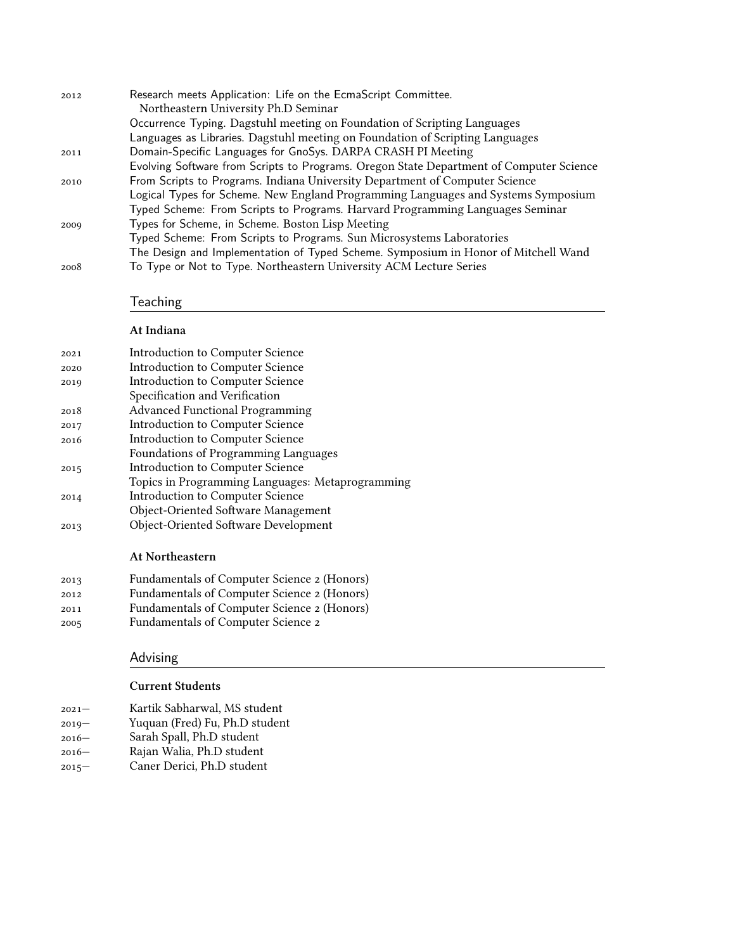| 2012 | Research meets Application: Life on the EcmaScript Committee.                           |
|------|-----------------------------------------------------------------------------------------|
|      | Northeastern University Ph.D Seminar                                                    |
|      | Occurrence Typing. Dagstuhl meeting on Foundation of Scripting Languages                |
|      | Languages as Libraries. Dagstuhl meeting on Foundation of Scripting Languages           |
| 2011 | Domain-Specific Languages for GnoSys. DARPA CRASH PI Meeting                            |
|      | Evolving Software from Scripts to Programs. Oregon State Department of Computer Science |
| 2010 | From Scripts to Programs. Indiana University Department of Computer Science             |
|      | Logical Types for Scheme. New England Programming Languages and Systems Symposium       |
|      | Typed Scheme: From Scripts to Programs. Harvard Programming Languages Seminar           |
| 2009 | Types for Scheme, in Scheme. Boston Lisp Meeting                                        |
|      | Typed Scheme: From Scripts to Programs. Sun Microsystems Laboratories                   |
|      | The Design and Implementation of Typed Scheme. Symposium in Honor of Mitchell Wand      |
| 2008 | To Type or Not to Type. Northeastern University ACM Lecture Series                      |

## Teaching

### **At Indiana**

| 2021 | <b>Introduction to Computer Science</b>          |
|------|--------------------------------------------------|
| 2020 | <b>Introduction to Computer Science</b>          |
| 2019 | Introduction to Computer Science                 |
|      | Specification and Verification                   |
| 2018 | <b>Advanced Functional Programming</b>           |
| 2017 | Introduction to Computer Science                 |
| 2016 | <b>Introduction to Computer Science</b>          |
|      | Foundations of Programming Languages             |
| 2015 | <b>Introduction to Computer Science</b>          |
|      | Topics in Programming Languages: Metaprogramming |
| 2014 | <b>Introduction to Computer Science</b>          |
|      | Object-Oriented Software Management              |
| 2013 | Object-Oriented Software Development             |

### **At Northeastern**

| 2013 | Fundamentals of Computer Science 2 (Honors) |
|------|---------------------------------------------|
| 2012 | Fundamentals of Computer Science 2 (Honors) |
| 2011 | Fundamentals of Computer Science 2 (Honors) |
| 2005 | Fundamentals of Computer Science 2          |

# Advising

### **Current Students**

- 2021— Kartik Sabharwal, MS student
- 2019— Yuquan (Fred) Fu, Ph.D student
- 2016— Sarah Spall, Ph.D student
- 2016— Rajan Walia, Ph.D student
- 2015— Caner Derici, Ph.D student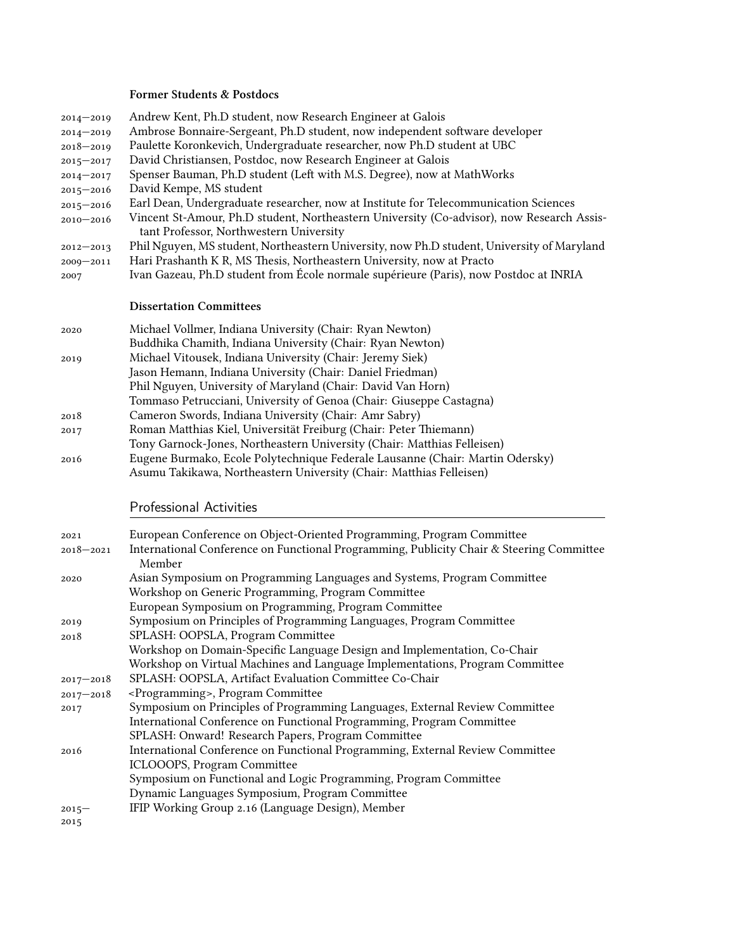### **Former Students & Postdocs**

| $2014 - 2019$ | Andrew Kent, Ph.D student, now Research Engineer at Galois                                                                           |
|---------------|--------------------------------------------------------------------------------------------------------------------------------------|
| $2014 - 2019$ | Ambrose Bonnaire-Sergeant, Ph.D student, now independent software developer                                                          |
| $2018 - 2019$ | Paulette Koronkevich, Undergraduate researcher, now Ph.D student at UBC                                                              |
| $2015 - 2017$ | David Christiansen, Postdoc, now Research Engineer at Galois                                                                         |
| $2014 - 2017$ | Spenser Bauman, Ph.D student (Left with M.S. Degree), now at MathWorks                                                               |
| $2015 - 2016$ | David Kempe, MS student                                                                                                              |
| $2015 - 2016$ | Earl Dean, Undergraduate researcher, now at Institute for Telecommunication Sciences                                                 |
| $2010 - 2016$ | Vincent St-Amour, Ph.D student, Northeastern University (Co-advisor), now Research Assis-<br>tant Professor, Northwestern University |
| $2012 - 2013$ | Phil Nguyen, MS student, Northeastern University, now Ph.D student, University of Maryland                                           |
| $2009 - 2011$ | Hari Prashanth K R, MS Thesis, Northeastern University, now at Practo                                                                |
| 2007          | Ivan Gazeau, Ph.D student from École normale supérieure (Paris), now Postdoc at INRIA                                                |
|               | <b>Dissertation Committees</b>                                                                                                       |
| 2020          | Michael Vollmer, Indiana University (Chair: Ryan Newton)                                                                             |
|               | Buddhika Chamith, Indiana University (Chair: Ryan Newton)                                                                            |
| 2019          | Michael Vitousek, Indiana University (Chair: Jeremy Siek)                                                                            |
|               | Jason Hemann, Indiana University (Chair: Daniel Friedman)                                                                            |
|               | Phil Nguyen, University of Maryland (Chair: David Van Horn)                                                                          |
|               | Tommaso Petrucciani, University of Genoa (Chair: Giuseppe Castagna)                                                                  |
| 2018          | Cameron Swords, Indiana University (Chair: Amr Sabry)                                                                                |
| 2017          | Roman Matthias Kiel, Universität Freiburg (Chair: Peter Thiemann)                                                                    |
|               | Tony Garnock-Jones, Northeastern University (Chair: Matthias Felleisen)                                                              |
|               |                                                                                                                                      |

2016 Eugene Burmako, Ecole Polytechnique Federale Lausanne (Chair: Martin Odersky) Asumu Takikawa, Northeastern University (Chair: Matthias Felleisen)

### Professional Activities

| 2021          | European Conference on Object-Oriented Programming, Program Committee                              |
|---------------|----------------------------------------------------------------------------------------------------|
| $2018 - 2021$ | International Conference on Functional Programming, Publicity Chair & Steering Committee<br>Member |
| 2020          | Asian Symposium on Programming Languages and Systems, Program Committee                            |
|               | Workshop on Generic Programming, Program Committee                                                 |
|               | European Symposium on Programming, Program Committee                                               |
| 2019          | Symposium on Principles of Programming Languages, Program Committee                                |
| 2018          | SPLASH: OOPSLA, Program Committee                                                                  |
|               | Workshop on Domain-Specific Language Design and Implementation, Co-Chair                           |
|               | Workshop on Virtual Machines and Language Implementations, Program Committee                       |
| $2017 - 2018$ | SPLASH: OOPSLA, Artifact Evaluation Committee Co-Chair                                             |
| $2017 - 2018$ | <programming>, Program Committee</programming>                                                     |
| 2017          | Symposium on Principles of Programming Languages, External Review Committee                        |
|               | International Conference on Functional Programming, Program Committee                              |
|               | SPLASH: Onward! Research Papers, Program Committee                                                 |
| 2016          | International Conference on Functional Programming, External Review Committee                      |
|               | ICLOOOPS, Program Committee                                                                        |
|               | Symposium on Functional and Logic Programming, Program Committee                                   |
|               | Dynamic Languages Symposium, Program Committee                                                     |
| $2015 -$      | IFIP Working Group 2.16 (Language Design), Member                                                  |
| 2015          |                                                                                                    |